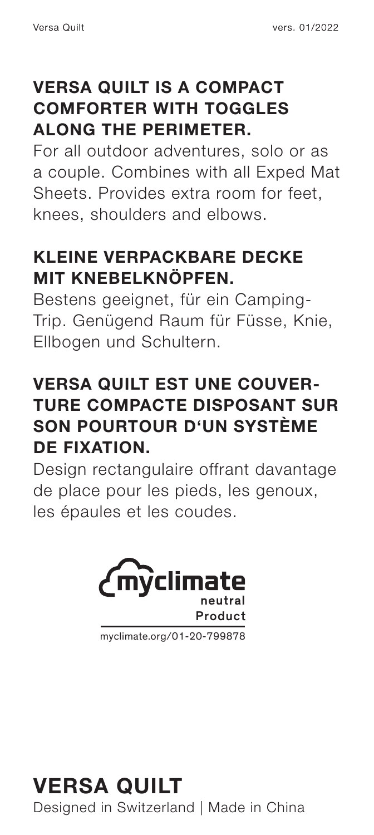### **VERSA QUILT IS A COMPACT COMFORTER WITH TOGGLES ALONG THE PERIMETER.**

For all outdoor adventures, solo or as a couple. Combines with all Exped Mat Sheets. Provides extra room for feet, knees, shoulders and elbows.

## **KLEINE VERPACKBARE DECKE MIT KNEBELKNÖPFEN.**

Bestens geeignet, für ein Camping-Trip. Genügend Raum für Füsse, Knie, Ellbogen und Schultern.

## **VERSA QUILT EST UNE COUVER-TURE COMPACTE DISPOSANT SUR SON POURTOUR D'UN SYSTÈME DE FIXATION.**

Design rectangulaire offrant davantage de place pour les pieds, les genoux, les épaules et les coudes.



myclimate.org/01-20-799878

**VERSA QUILT** Designed in Switzerland | Made in China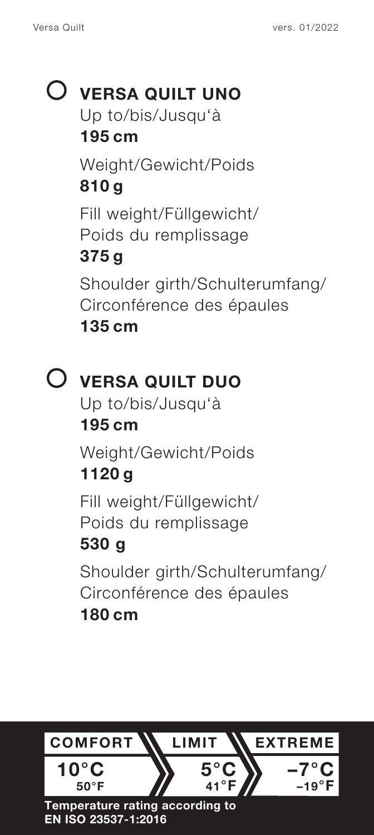# **VERSA QUILT UNO** Up to/bis/Jusqu'à

**195 cm** Weight/Gewicht/Poids **810 g** Fill weight/Füllgewicht/ Poids du remplissage **375 g** Shoulder girth/Schulterumfang/ Circonférence des épaules **135 cm**

# **VERSA QUILT DUO**

Up to/bis/Jusqu'à **195 cm**

Weight/Gewicht/Poids **1120 g**

Fill weight/Füllgewicht/ Poids du remplissage

# **530 g**

Shoulder girth/Schulterumfang/ Circonférence des épaules **180 cm**

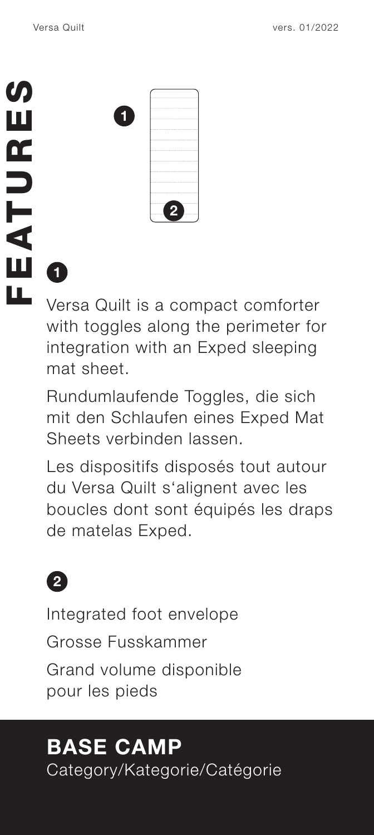|                             | Versa Quilt |                                    | vers. 01/2022 |
|-----------------------------|-------------|------------------------------------|---------------|
| S)<br>Ш<br>Œ<br>D<br>।<br>द | 0           | 2                                  |               |
| Ш                           | Ō           |                                    |               |
| Щ                           |             | Varge Quilt is a compact comforter |               |

Versa Quilt is a compact comforter with toggles along the perimeter for integration with an Exped sleeping mat sheet.

Rundumlaufende Toggles, die sich mit den Schlaufen eines Exped Mat Sheets verbinden lassen.

Les dispositifs disposés tout autour du Versa Quilt s'alignent avec les boucles dont sont équipés les draps de matelas Exped.



Integrated foot envelope

Grosse Fusskammer

Grand volume disponible pour les pieds

# **BASE CAMP**

Category/Kategorie/Catégorie